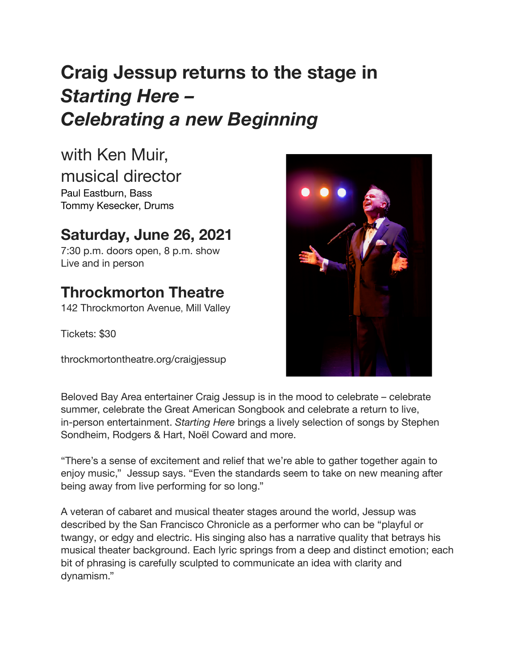# **Craig Jessup returns to the stage in** *Starting Here – Celebrating a new Beginning*

with Ken Muir,

musical director

Paul Eastburn, Bass Tommy Kesecker, Drums

### **Saturday, June 26, 2021**

7:30 p.m. doors open, 8 p.m. show Live and in person

## **Throckmorton Theatre**

142 Throckmorton Avenue, Mill Valley

Tickets: \$30

throckmortontheatre.org/craigjessup



Beloved Bay Area entertainer Craig Jessup is in the mood to celebrate – celebrate summer, celebrate the Great American Songbook and celebrate a return to live, in-person entertainment. *Starting Here* brings a lively selection of songs by Stephen Sondheim, Rodgers & Hart, Noël Coward and more.

"There's a sense of excitement and relief that we're able to gather together again to enjoy music," Jessup says. "Even the standards seem to take on new meaning after being away from live performing for so long."

A veteran of cabaret and musical theater stages around the world, Jessup was described by the San Francisco Chronicle as a performer who can be "playful or twangy, or edgy and electric. His singing also has a narrative quality that betrays his musical theater background. Each lyric springs from a deep and distinct emotion; each bit of phrasing is carefully sculpted to communicate an idea with clarity and dynamism."